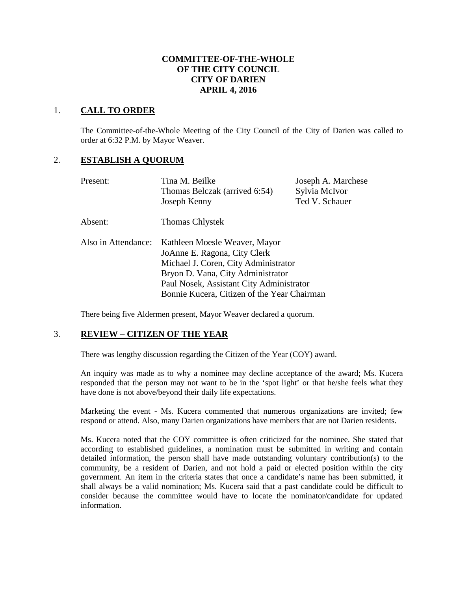## **COMMITTEE-OF-THE-WHOLE OF THE CITY COUNCIL CITY OF DARIEN APRIL 4, 2016**

## 1. **CALL TO ORDER**

The Committee-of-the-Whole Meeting of the City Council of the City of Darien was called to order at 6:32 P.M. by Mayor Weaver.

## 2. **ESTABLISH A QUORUM**

| Present:            | Tina M. Beilke<br>Thomas Belczak (arrived 6:54)<br>Joseph Kenny                                                                                                                                                                       | Joseph A. Marchese<br>Sylvia McIvor<br>Ted V. Schauer |  |
|---------------------|---------------------------------------------------------------------------------------------------------------------------------------------------------------------------------------------------------------------------------------|-------------------------------------------------------|--|
| Absent:             | <b>Thomas Chlystek</b>                                                                                                                                                                                                                |                                                       |  |
| Also in Attendance: | Kathleen Moesle Weaver, Mayor<br>JoAnne E. Ragona, City Clerk<br>Michael J. Coren, City Administrator<br>Bryon D. Vana, City Administrator<br>Paul Nosek, Assistant City Administrator<br>Bonnie Kucera, Citizen of the Year Chairman |                                                       |  |

There being five Aldermen present, Mayor Weaver declared a quorum.

# 3. **REVIEW – CITIZEN OF THE YEAR**

There was lengthy discussion regarding the Citizen of the Year (COY) award.

An inquiry was made as to why a nominee may decline acceptance of the award; Ms. Kucera responded that the person may not want to be in the 'spot light' or that he/she feels what they have done is not above/beyond their daily life expectations.

Marketing the event - Ms. Kucera commented that numerous organizations are invited; few respond or attend. Also, many Darien organizations have members that are not Darien residents.

Ms. Kucera noted that the COY committee is often criticized for the nominee. She stated that according to established guidelines, a nomination must be submitted in writing and contain detailed information, the person shall have made outstanding voluntary contribution(s) to the community, be a resident of Darien, and not hold a paid or elected position within the city government. An item in the criteria states that once a candidate's name has been submitted, it shall always be a valid nomination; Ms. Kucera said that a past candidate could be difficult to consider because the committee would have to locate the nominator/candidate for updated information.